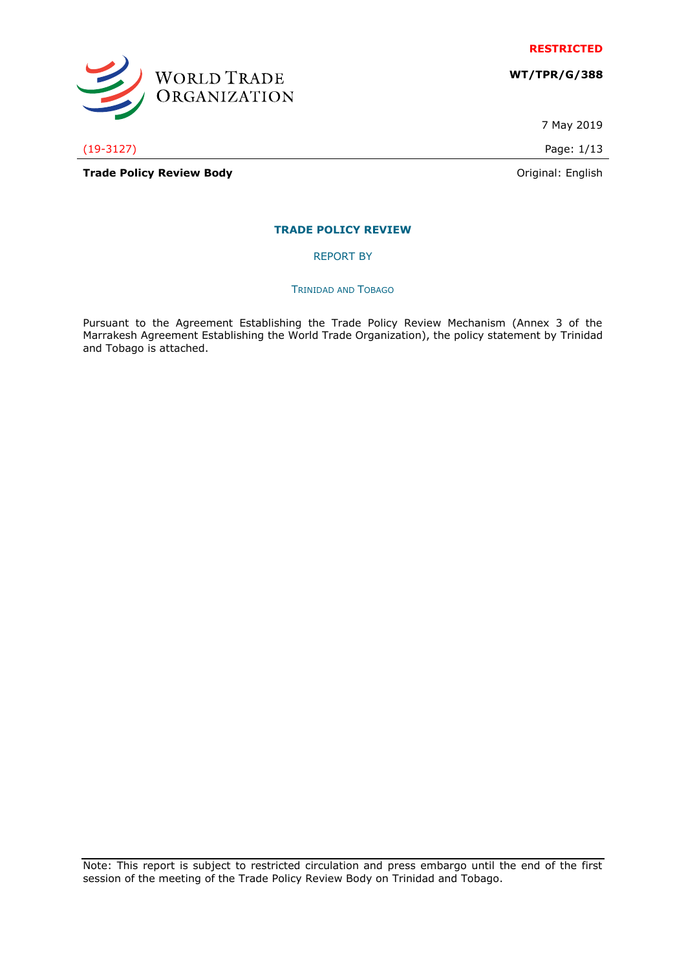

**WT/TPR/G/388**



(19-3127) Page: 1/13

**Trade Policy Review Body Contract Contract Contract Contract Contract Contract Contract Contract Contract Contract Contract Contract Contract Contract Contract Contract Contract Contract Contract Contract Contract Contr** 

7 May 2019

**TRADE POLICY REVIEW**

REPORT BY

TRINIDAD AND TOBAGO

Pursuant to the Agreement Establishing the Trade Policy Review Mechanism (Annex 3 of the Marrakesh Agreement Establishing the World Trade Organization), the policy statement by Trinidad and Tobago is attached.

Note: This report is subject to restricted circulation and press embargo until the end of the first session of the meeting of the Trade Policy Review Body on Trinidad and Tobago.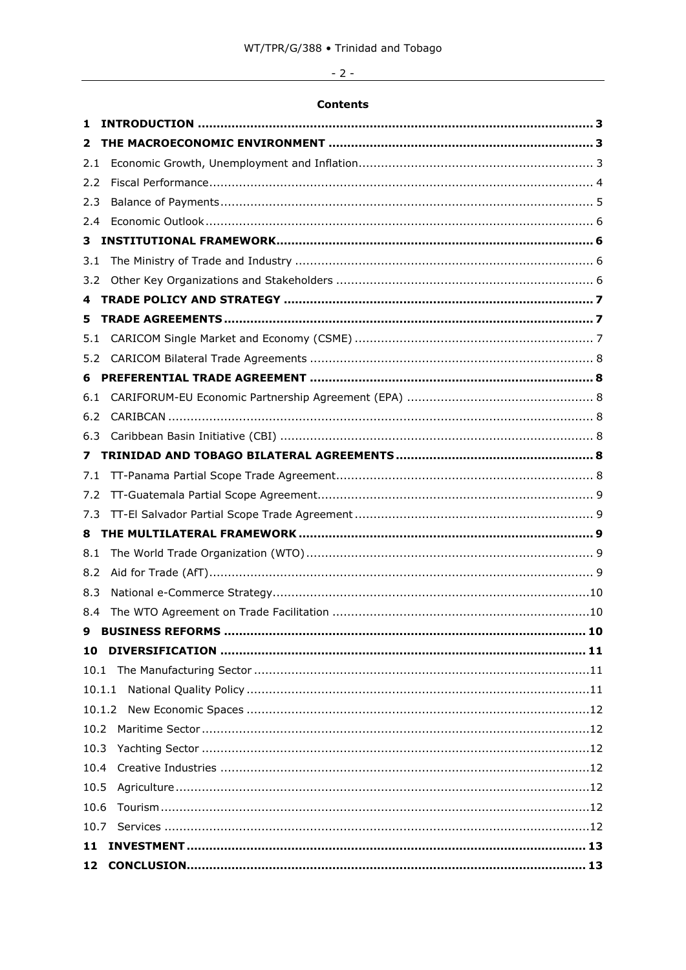# $-2-$

# **Contents**

| 1    |                                 |
|------|---------------------------------|
| 2    |                                 |
| 2.1  |                                 |
| 2.2  |                                 |
| 2.3  |                                 |
| 2.4  |                                 |
| 3    |                                 |
| 3.1  |                                 |
| 3.2  |                                 |
| 4    |                                 |
| 5    |                                 |
| 5.1  |                                 |
| 5.2  |                                 |
| 6    |                                 |
| 6.1  |                                 |
| 6.2  |                                 |
| 6.3  |                                 |
| 7    |                                 |
| 7.1  |                                 |
| 7.2  |                                 |
| 7.3  |                                 |
| 8    |                                 |
| 8.1  |                                 |
| 8.2  |                                 |
| 8.3  |                                 |
| 8.4  |                                 |
|      | <b>9 BUSTNESS REFORMS</b><br>10 |
| 10   |                                 |
|      |                                 |
|      | 10.1.1                          |
|      |                                 |
| 10.2 |                                 |
| 10.3 |                                 |
| 10.4 |                                 |
| 10.5 |                                 |
| 10.6 |                                 |
|      |                                 |
| 11   |                                 |
| 12   |                                 |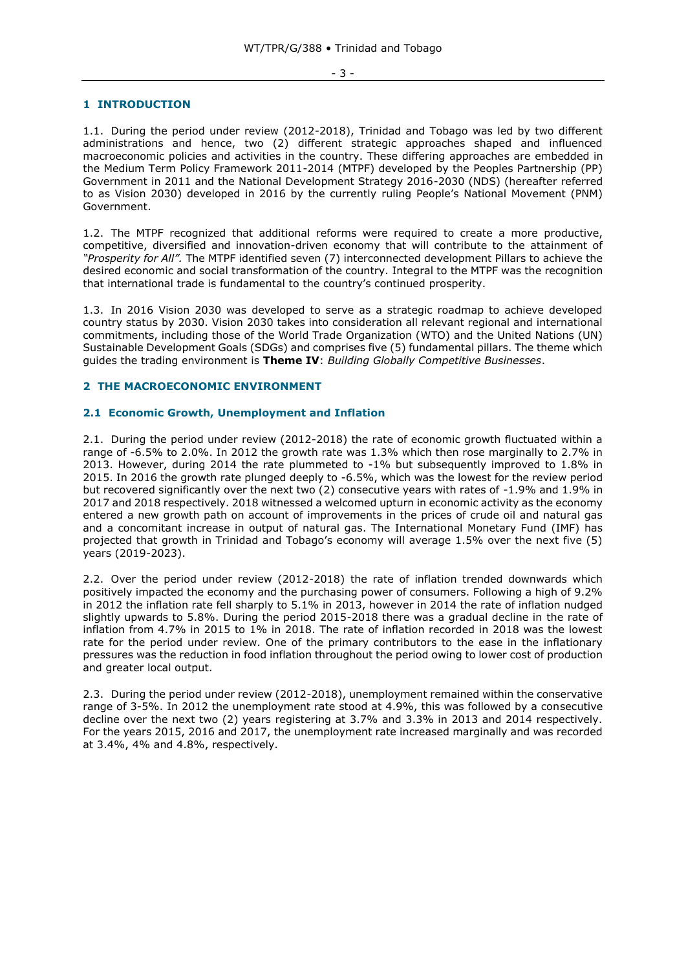#### - 3 -

### <span id="page-2-0"></span>**1 INTRODUCTION**

1.1. During the period under review (2012-2018), Trinidad and Tobago was led by two different administrations and hence, two (2) different strategic approaches shaped and influenced macroeconomic policies and activities in the country. These differing approaches are embedded in the Medium Term Policy Framework 2011-2014 (MTPF) developed by the Peoples Partnership (PP) Government in 2011 and the National Development Strategy 2016-2030 (NDS) (hereafter referred to as Vision 2030) developed in 2016 by the currently ruling People's National Movement (PNM) Government.

1.2. The MTPF recognized that additional reforms were required to create a more productive, competitive, diversified and innovation-driven economy that will contribute to the attainment of *"Prosperity for All".* The MTPF identified seven (7) interconnected development Pillars to achieve the desired economic and social transformation of the country. Integral to the MTPF was the recognition that international trade is fundamental to the country's continued prosperity.

1.3. In 2016 Vision 2030 was developed to serve as a strategic roadmap to achieve developed country status by 2030. Vision 2030 takes into consideration all relevant regional and international commitments, including those of the World Trade Organization (WTO) and the United Nations (UN) Sustainable Development Goals (SDGs) and comprises five (5) fundamental pillars. The theme which guides the trading environment is **Theme IV**: *Building Globally Competitive Businesses*.

### <span id="page-2-1"></span>**2 THE MACROECONOMIC ENVIRONMENT**

### <span id="page-2-2"></span>**2.1 Economic Growth, Unemployment and Inflation**

2.1. During the period under review (2012-2018) the rate of economic growth fluctuated within a range of -6.5% to 2.0%. In 2012 the growth rate was 1.3% which then rose marginally to 2.7% in 2013. However, during 2014 the rate plummeted to -1% but subsequently improved to 1.8% in 2015. In 2016 the growth rate plunged deeply to -6.5%, which was the lowest for the review period but recovered significantly over the next two (2) consecutive years with rates of -1.9% and 1.9% in 2017 and 2018 respectively. 2018 witnessed a welcomed upturn in economic activity as the economy entered a new growth path on account of improvements in the prices of crude oil and natural gas and a concomitant increase in output of natural gas. The International Monetary Fund (IMF) has projected that growth in Trinidad and Tobago's economy will average 1.5% over the next five (5) years (2019-2023).

2.2. Over the period under review (2012-2018) the rate of inflation trended downwards which positively impacted the economy and the purchasing power of consumers. Following a high of 9.2% in 2012 the inflation rate fell sharply to 5.1% in 2013, however in 2014 the rate of inflation nudged slightly upwards to 5.8%. During the period 2015-2018 there was a gradual decline in the rate of inflation from 4.7% in 2015 to 1% in 2018. The rate of inflation recorded in 2018 was the lowest rate for the period under review. One of the primary contributors to the ease in the inflationary pressures was the reduction in food inflation throughout the period owing to lower cost of production and greater local output.

2.3. During the period under review (2012-2018), unemployment remained within the conservative range of 3-5%. In 2012 the unemployment rate stood at 4.9%, this was followed by a consecutive decline over the next two (2) years registering at 3.7% and 3.3% in 2013 and 2014 respectively. For the years 2015, 2016 and 2017, the unemployment rate increased marginally and was recorded at 3.4%, 4% and 4.8%, respectively.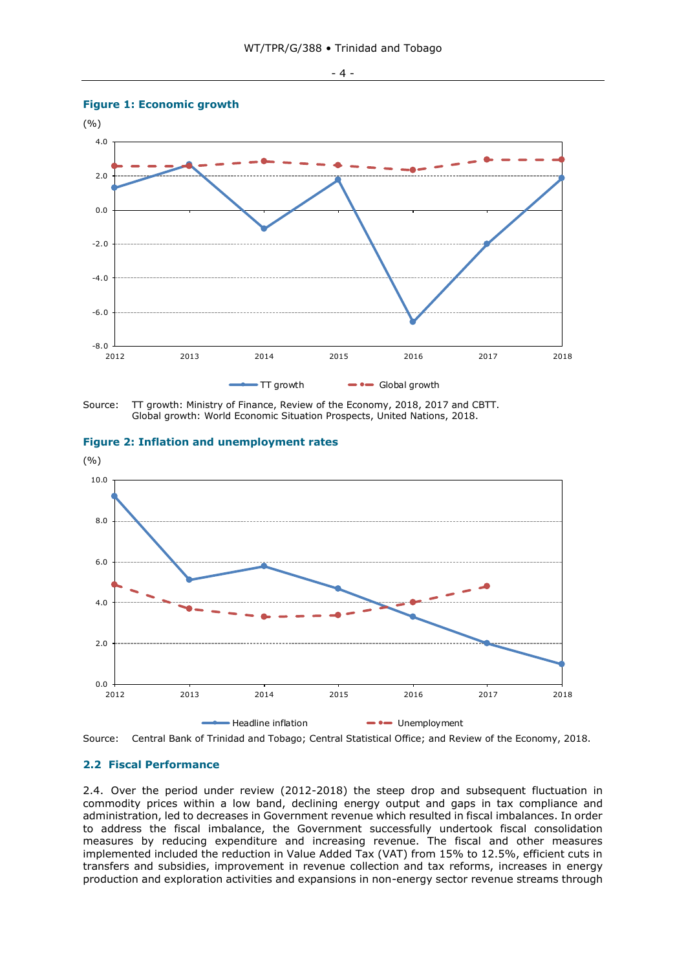- 4 -

# **Figure 1: Economic growth Fig. 1: Economic growth**







# **Figure 2: Inflation and unemployment rates Fig. 2: Inflation and unemployment rates**



### <span id="page-3-0"></span>**2.2 Fiscal Performance**

2.4. Over the period under review (2012-2018) the steep drop and subsequent fluctuation in commodity prices within a low band, declining energy output and gaps in tax compliance and administration, led to decreases in Government revenue which resulted in fiscal imbalances. In order to address the fiscal imbalance, the Government successfully undertook fiscal consolidation measures by reducing expenditure and increasing revenue. The fiscal and other measures implemented included the reduction in Value Added Tax (VAT) from 15% to 12.5%, efficient cuts in transfers and subsidies, improvement in revenue collection and tax reforms, increases in energy production and exploration activities and expansions in non-energy sector revenue streams through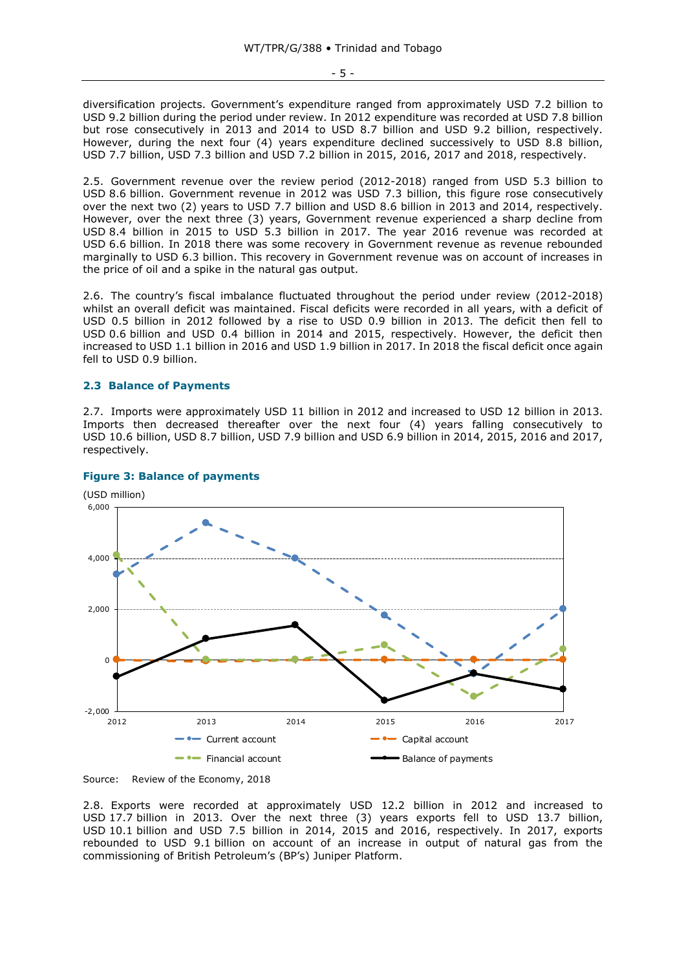- 5 -

diversification projects. Government's expenditure ranged from approximately USD 7.2 billion to USD 9.2 billion during the period under review. In 2012 expenditure was recorded at USD 7.8 billion but rose consecutively in 2013 and 2014 to USD 8.7 billion and USD 9.2 billion, respectively. However, during the next four (4) years expenditure declined successively to USD 8.8 billion, USD 7.7 billion, USD 7.3 billion and USD 7.2 billion in 2015, 2016, 2017 and 2018, respectively.

2.5. Government revenue over the review period (2012-2018) ranged from USD 5.3 billion to USD 8.6 billion. Government revenue in 2012 was USD 7.3 billion, this figure rose consecutively over the next two (2) years to USD 7.7 billion and USD 8.6 billion in 2013 and 2014, respectively. However, over the next three (3) years, Government revenue experienced a sharp decline from USD 8.4 billion in 2015 to USD 5.3 billion in 2017. The year 2016 revenue was recorded at USD 6.6 billion. In 2018 there was some recovery in Government revenue as revenue rebounded marginally to USD 6.3 billion. This recovery in Government revenue was on account of increases in the price of oil and a spike in the natural gas output.

2.6. The country's fiscal imbalance fluctuated throughout the period under review (2012-2018) whilst an overall deficit was maintained. Fiscal deficits were recorded in all years, with a deficit of USD 0.5 billion in 2012 followed by a rise to USD 0.9 billion in 2013. The deficit then fell to USD 0.6 billion and USD 0.4 billion in 2014 and 2015, respectively. However, the deficit then increased to USD 1.1 billion in 2016 and USD 1.9 billion in 2017. In 2018 the fiscal deficit once again fell to USD 0.9 billion.

### <span id="page-4-0"></span>**2.3 Balance of Payments**

2.7. Imports were approximately USD 11 billion in 2012 and increased to USD 12 billion in 2013. Imports then decreased thereafter over the next four (4) years falling consecutively to USD 10.6 billion, USD 8.7 billion, USD 7.9 billion and USD 6.9 billion in 2014, 2015, 2016 and 2017, respectively.



### **Figure 3: Balance of payments**

2.8. Exports were recorded at approximately USD 12.2 billion in 2012 and increased to USD 17.7 billion in 2013. Over the next three (3) years exports fell to USD 13.7 billion, USD 10.1 billion and USD 7.5 billion in 2014, 2015 and 2016, respectively. In 2017, exports rebounded to USD 9.1 billion on account of an increase in output of natural gas from the commissioning of British Petroleum's (BP's) Juniper Platform.

Source: Review of the Economy, 2018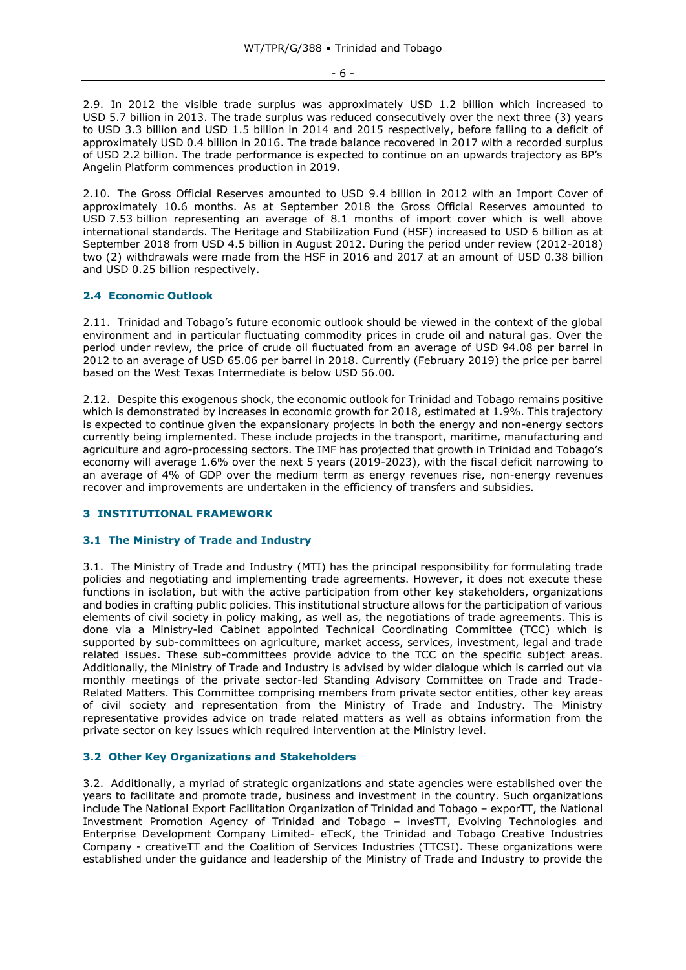#### - 6 -

2.9. In 2012 the visible trade surplus was approximately USD 1.2 billion which increased to USD 5.7 billion in 2013. The trade surplus was reduced consecutively over the next three (3) years to USD 3.3 billion and USD 1.5 billion in 2014 and 2015 respectively, before falling to a deficit of approximately USD 0.4 billion in 2016. The trade balance recovered in 2017 with a recorded surplus of USD 2.2 billion. The trade performance is expected to continue on an upwards trajectory as BP's Angelin Platform commences production in 2019.

2.10. The Gross Official Reserves amounted to USD 9.4 billion in 2012 with an Import Cover of approximately 10.6 months. As at September 2018 the Gross Official Reserves amounted to USD 7.53 billion representing an average of 8.1 months of import cover which is well above international standards. The Heritage and Stabilization Fund (HSF) increased to USD 6 billion as at September 2018 from USD 4.5 billion in August 2012. During the period under review (2012-2018) two (2) withdrawals were made from the HSF in 2016 and 2017 at an amount of USD 0.38 billion and USD 0.25 billion respectively.

### <span id="page-5-0"></span>**2.4 Economic Outlook**

2.11. Trinidad and Tobago's future economic outlook should be viewed in the context of the global environment and in particular fluctuating commodity prices in crude oil and natural gas. Over the period under review, the price of crude oil fluctuated from an average of USD 94.08 per barrel in 2012 to an average of USD 65.06 per barrel in 2018. Currently (February 2019) the price per barrel based on the West Texas Intermediate is below USD 56.00.

2.12. Despite this exogenous shock, the economic outlook for Trinidad and Tobago remains positive which is demonstrated by increases in economic growth for 2018, estimated at 1.9%. This trajectory is expected to continue given the expansionary projects in both the energy and non-energy sectors currently being implemented. These include projects in the transport, maritime, manufacturing and agriculture and agro-processing sectors. The IMF has projected that growth in Trinidad and Tobago's economy will average 1.6% over the next 5 years (2019-2023), with the fiscal deficit narrowing to an average of 4% of GDP over the medium term as energy revenues rise, non-energy revenues recover and improvements are undertaken in the efficiency of transfers and subsidies.

### <span id="page-5-1"></span>**3 INSTITUTIONAL FRAMEWORK**

#### <span id="page-5-2"></span>**3.1 The Ministry of Trade and Industry**

3.1. The Ministry of Trade and Industry (MTI) has the principal responsibility for formulating trade policies and negotiating and implementing trade agreements. However, it does not execute these functions in isolation, but with the active participation from other key stakeholders, organizations and bodies in crafting public policies. This institutional structure allows for the participation of various elements of civil society in policy making, as well as, the negotiations of trade agreements. This is done via a Ministry-led Cabinet appointed Technical Coordinating Committee (TCC) which is supported by sub-committees on agriculture, market access, services, investment, legal and trade related issues. These sub-committees provide advice to the TCC on the specific subject areas. Additionally, the Ministry of Trade and Industry is advised by wider dialogue which is carried out via monthly meetings of the private sector-led Standing Advisory Committee on Trade and Trade-Related Matters. This Committee comprising members from private sector entities, other key areas of civil society and representation from the Ministry of Trade and Industry. The Ministry representative provides advice on trade related matters as well as obtains information from the private sector on key issues which required intervention at the Ministry level.

### <span id="page-5-3"></span>**3.2 Other Key Organizations and Stakeholders**

3.2. Additionally, a myriad of strategic organizations and state agencies were established over the years to facilitate and promote trade, business and investment in the country. Such organizations include The National Export Facilitation Organization of Trinidad and Tobago – exporTT, the National Investment Promotion Agency of Trinidad and Tobago – invesTT, Evolving Technologies and Enterprise Development Company Limited- eTecK, the Trinidad and Tobago Creative Industries Company - creativeTT and the Coalition of Services Industries (TTCSI). These organizations were established under the guidance and leadership of the Ministry of Trade and Industry to provide the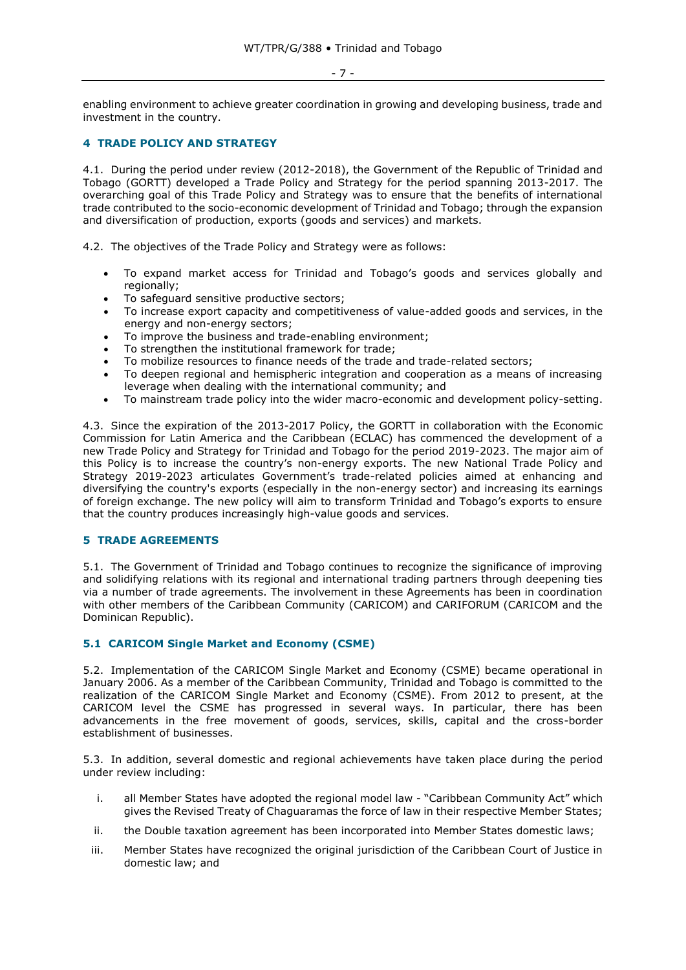- 7 -

enabling environment to achieve greater coordination in growing and developing business, trade and investment in the country.

### <span id="page-6-0"></span>**4 TRADE POLICY AND STRATEGY**

4.1. During the period under review (2012-2018), the Government of the Republic of Trinidad and Tobago (GORTT) developed a Trade Policy and Strategy for the period spanning 2013-2017. The overarching goal of this Trade Policy and Strategy was to ensure that the benefits of international trade contributed to the socio-economic development of Trinidad and Tobago; through the expansion and diversification of production, exports (goods and services) and markets.

4.2. The objectives of the Trade Policy and Strategy were as follows:

- To expand market access for Trinidad and Tobago's goods and services globally and regionally;
- To safeguard sensitive productive sectors;
- To increase export capacity and competitiveness of value-added goods and services, in the energy and non-energy sectors;
- To improve the business and trade-enabling environment;
- To strengthen the institutional framework for trade:
- To mobilize resources to finance needs of the trade and trade-related sectors;
- To deepen regional and hemispheric integration and cooperation as a means of increasing leverage when dealing with the international community; and
- To mainstream trade policy into the wider macro-economic and development policy-setting.

4.3. Since the expiration of the 2013-2017 Policy, the GORTT in collaboration with the Economic Commission for Latin America and the Caribbean (ECLAC) has commenced the development of a new Trade Policy and Strategy for Trinidad and Tobago for the period 2019-2023. The major aim of this Policy is to increase the country's non-energy exports. The new National Trade Policy and Strategy 2019-2023 articulates Government's trade-related policies aimed at enhancing and diversifying the country's exports (especially in the non-energy sector) and increasing its earnings of foreign exchange. The new policy will aim to transform Trinidad and Tobago's exports to ensure that the country produces increasingly high-value goods and services.

### <span id="page-6-1"></span>**5 TRADE AGREEMENTS**

5.1. The Government of Trinidad and Tobago continues to recognize the significance of improving and solidifying relations with its regional and international trading partners through deepening ties via a number of trade agreements. The involvement in these Agreements has been in coordination with other members of the Caribbean Community (CARICOM) and CARIFORUM (CARICOM and the Dominican Republic).

### <span id="page-6-2"></span>**5.1 CARICOM Single Market and Economy (CSME)**

5.2. Implementation of the CARICOM Single Market and Economy (CSME) became operational in January 2006. As a member of the Caribbean Community, Trinidad and Tobago is committed to the realization of the CARICOM Single Market and Economy (CSME). From 2012 to present, at the CARICOM level the CSME has progressed in several ways. In particular, there has been advancements in the free movement of goods, services, skills, capital and the cross-border establishment of businesses.

5.3. In addition, several domestic and regional achievements have taken place during the period under review including:

- i. all Member States have adopted the regional model law "Caribbean Community Act" which gives the Revised Treaty of Chaguaramas the force of law in their respective Member States;
- ii. the Double taxation agreement has been incorporated into Member States domestic laws;
- iii. Member States have recognized the original jurisdiction of the Caribbean Court of Justice in domestic law; and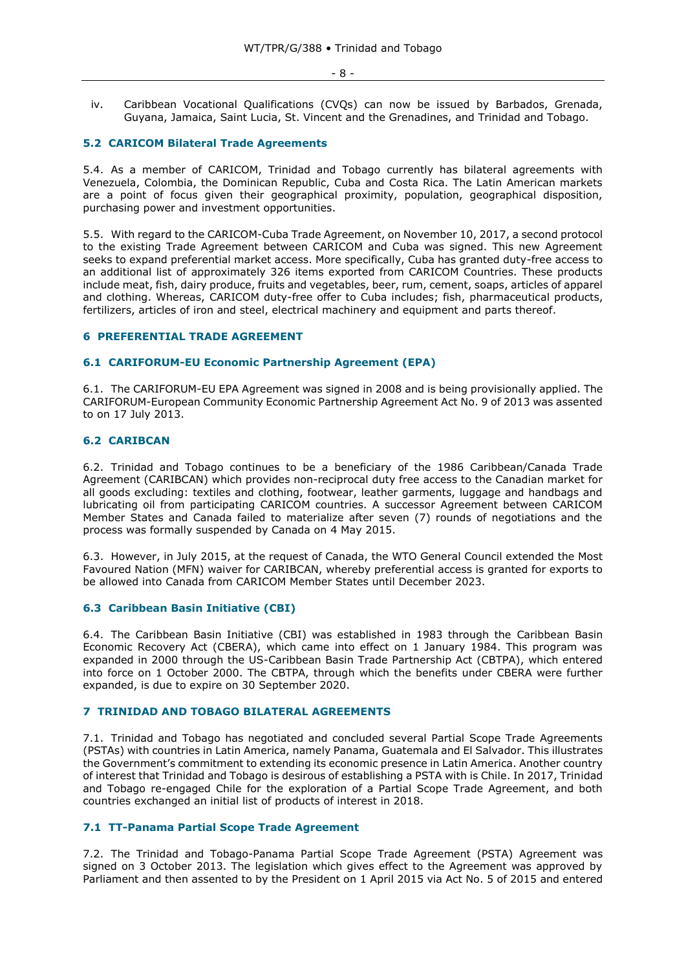iv. Caribbean Vocational Qualifications (CVQs) can now be issued by Barbados, Grenada, Guyana, Jamaica, Saint Lucia, St. Vincent and the Grenadines, and Trinidad and Tobago.

### <span id="page-7-0"></span>**5.2 CARICOM Bilateral Trade Agreements**

5.4. As a member of CARICOM, Trinidad and Tobago currently has bilateral agreements with Venezuela, Colombia, the Dominican Republic, Cuba and Costa Rica. The Latin American markets are a point of focus given their geographical proximity, population, geographical disposition, purchasing power and investment opportunities.

5.5. With regard to the CARICOM-Cuba Trade Agreement, on November 10, 2017, a second protocol to the existing Trade Agreement between CARICOM and Cuba was signed. This new Agreement seeks to expand preferential market access. More specifically, Cuba has granted duty-free access to an additional list of approximately 326 items exported from CARICOM Countries. These products include meat, fish, dairy produce, fruits and vegetables, beer, rum, cement, soaps, articles of apparel and clothing. Whereas, CARICOM duty-free offer to Cuba includes; fish, pharmaceutical products, fertilizers, articles of iron and steel, electrical machinery and equipment and parts thereof.

### <span id="page-7-1"></span>**6 PREFERENTIAL TRADE AGREEMENT**

### <span id="page-7-2"></span>**6.1 CARIFORUM-EU Economic Partnership Agreement (EPA)**

6.1. The CARIFORUM-EU EPA Agreement was signed in 2008 and is being provisionally applied. The CARIFORUM-European Community Economic Partnership Agreement Act No. 9 of 2013 was assented to on 17 July 2013.

### <span id="page-7-3"></span>**6.2 CARIBCAN**

6.2. Trinidad and Tobago continues to be a beneficiary of the 1986 Caribbean/Canada Trade Agreement (CARIBCAN) which provides non-reciprocal duty free access to the Canadian market for all goods excluding: textiles and clothing, footwear, leather garments, luggage and handbags and lubricating oil from participating CARICOM countries. A successor Agreement between CARICOM Member States and Canada failed to materialize after seven (7) rounds of negotiations and the process was formally suspended by Canada on 4 May 2015.

6.3. However, in July 2015, at the request of Canada, the WTO General Council extended the Most Favoured Nation (MFN) waiver for CARIBCAN, whereby preferential access is granted for exports to be allowed into Canada from CARICOM Member States until December 2023.

#### <span id="page-7-4"></span>**6.3 Caribbean Basin Initiative (CBI)**

6.4. The Caribbean Basin Initiative (CBI) was established in 1983 through the Caribbean Basin Economic Recovery Act (CBERA), which came into effect on 1 January 1984. This program was expanded in 2000 through the US-Caribbean Basin Trade Partnership Act (CBTPA), which entered into force on 1 October 2000. The CBTPA, through which the benefits under CBERA were further expanded, is due to expire on 30 September 2020.

### <span id="page-7-5"></span>**7 TRINIDAD AND TOBAGO BILATERAL AGREEMENTS**

7.1. Trinidad and Tobago has negotiated and concluded several Partial Scope Trade Agreements (PSTAs) with countries in Latin America, namely Panama, Guatemala and El Salvador. This illustrates the Government's commitment to extending its economic presence in Latin America. Another country of interest that Trinidad and Tobago is desirous of establishing a PSTA with is Chile. In 2017, Trinidad and Tobago re-engaged Chile for the exploration of a Partial Scope Trade Agreement, and both countries exchanged an initial list of products of interest in 2018.

#### <span id="page-7-6"></span>**7.1 TT-Panama Partial Scope Trade Agreement**

7.2. The Trinidad and Tobago-Panama Partial Scope Trade Agreement (PSTA) Agreement was signed on 3 October 2013. The legislation which gives effect to the Agreement was approved by Parliament and then assented to by the President on 1 April 2015 via Act No. 5 of 2015 and entered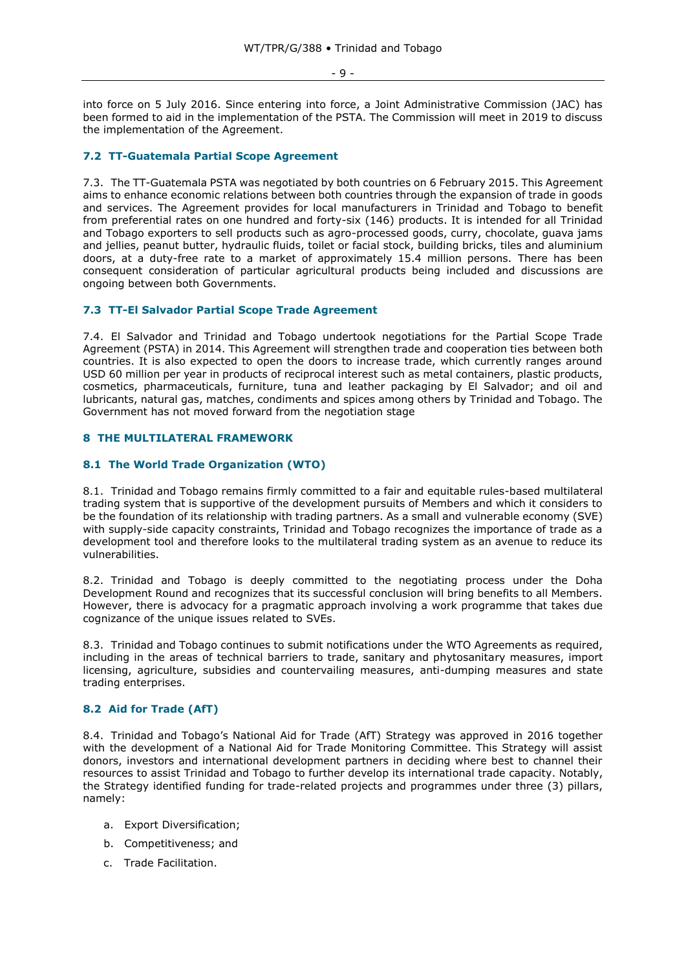- 9 -

into force on 5 July 2016. Since entering into force, a Joint Administrative Commission (JAC) has been formed to aid in the implementation of the PSTA. The Commission will meet in 2019 to discuss the implementation of the Agreement.

### <span id="page-8-0"></span>**7.2 TT-Guatemala Partial Scope Agreement**

7.3. The TT-Guatemala PSTA was negotiated by both countries on 6 February 2015. This Agreement aims to enhance economic relations between both countries through the expansion of trade in goods and services. The Agreement provides for local manufacturers in Trinidad and Tobago to benefit from preferential rates on one hundred and forty-six (146) products. It is intended for all Trinidad and Tobago exporters to sell products such as agro-processed goods, curry, chocolate, guava jams and jellies, peanut butter, hydraulic fluids, toilet or facial stock, building bricks, tiles and aluminium doors, at a duty-free rate to a market of approximately 15.4 million persons. There has been consequent consideration of particular agricultural products being included and discussions are ongoing between both Governments.

### <span id="page-8-1"></span>**7.3 TT-El Salvador Partial Scope Trade Agreement**

7.4. El Salvador and Trinidad and Tobago undertook negotiations for the Partial Scope Trade Agreement (PSTA) in 2014. This Agreement will strengthen trade and cooperation ties between both countries. It is also expected to open the doors to increase trade, which currently ranges around USD 60 million per year in products of reciprocal interest such as metal containers, plastic products, cosmetics, pharmaceuticals, furniture, tuna and leather packaging by El Salvador; and oil and lubricants, natural gas, matches, condiments and spices among others by Trinidad and Tobago. The Government has not moved forward from the negotiation stage

### <span id="page-8-2"></span>**8 THE MULTILATERAL FRAMEWORK**

### <span id="page-8-3"></span>**8.1 The World Trade Organization (WTO)**

8.1. Trinidad and Tobago remains firmly committed to a fair and equitable rules-based multilateral trading system that is supportive of the development pursuits of Members and which it considers to be the foundation of its relationship with trading partners. As a small and vulnerable economy (SVE) with supply-side capacity constraints, Trinidad and Tobago recognizes the importance of trade as a development tool and therefore looks to the multilateral trading system as an avenue to reduce its vulnerabilities.

8.2. Trinidad and Tobago is deeply committed to the negotiating process under the Doha Development Round and recognizes that its successful conclusion will bring benefits to all Members. However, there is advocacy for a pragmatic approach involving a work programme that takes due cognizance of the unique issues related to SVEs.

8.3. Trinidad and Tobago continues to submit notifications under the WTO Agreements as required, including in the areas of technical barriers to trade, sanitary and phytosanitary measures, import licensing, agriculture, subsidies and countervailing measures, anti-dumping measures and state trading enterprises.

#### <span id="page-8-4"></span>**8.2 Aid for Trade (AfT)**

8.4. Trinidad and Tobago's National Aid for Trade (AfT) Strategy was approved in 2016 together with the development of a National Aid for Trade Monitoring Committee. This Strategy will assist donors, investors and international development partners in deciding where best to channel their resources to assist Trinidad and Tobago to further develop its international trade capacity. Notably, the Strategy identified funding for trade-related projects and programmes under three (3) pillars, namely:

- a. Export Diversification;
- b. Competitiveness; and
- c. Trade Facilitation.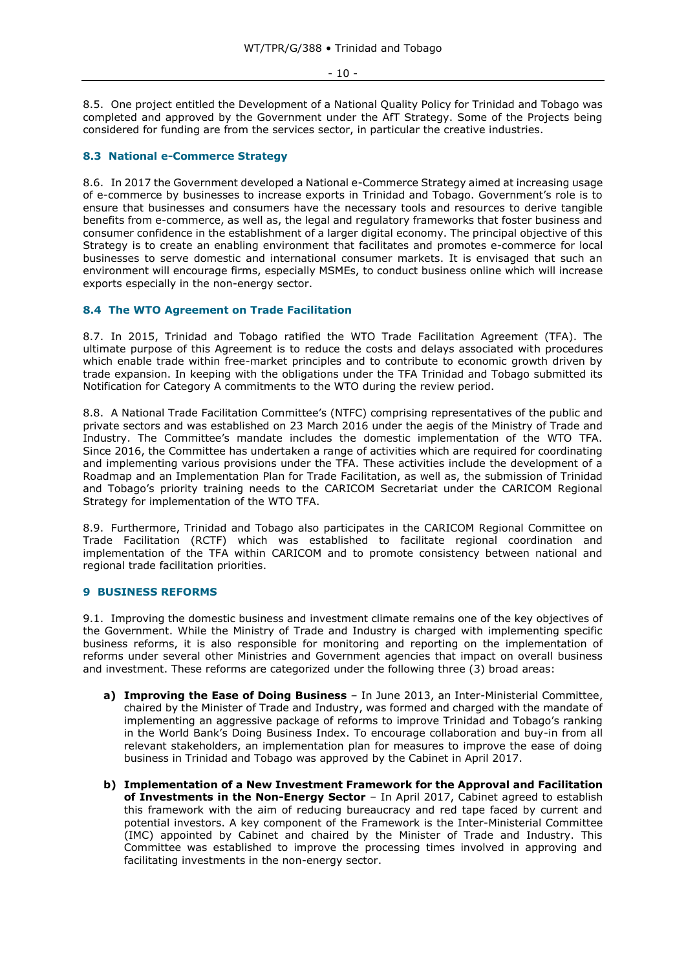#### - 10 -

8.5. One project entitled the Development of a National Quality Policy for Trinidad and Tobago was completed and approved by the Government under the AfT Strategy. Some of the Projects being considered for funding are from the services sector, in particular the creative industries.

### <span id="page-9-0"></span>**8.3 National e-Commerce Strategy**

8.6. In 2017 the Government developed a National e-Commerce Strategy aimed at increasing usage of e-commerce by businesses to increase exports in Trinidad and Tobago. Government's role is to ensure that businesses and consumers have the necessary tools and resources to derive tangible benefits from e-commerce, as well as, the legal and regulatory frameworks that foster business and consumer confidence in the establishment of a larger digital economy. The principal objective of this Strategy is to create an enabling environment that facilitates and promotes e-commerce for local businesses to serve domestic and international consumer markets. It is envisaged that such an environment will encourage firms, especially MSMEs, to conduct business online which will increase exports especially in the non-energy sector.

### <span id="page-9-1"></span>**8.4 The WTO Agreement on Trade Facilitation**

8.7. In 2015, Trinidad and Tobago ratified the WTO Trade Facilitation Agreement (TFA). The ultimate purpose of this Agreement is to reduce the costs and delays associated with procedures which enable trade within free-market principles and to contribute to economic growth driven by trade expansion. In keeping with the obligations under the TFA Trinidad and Tobago submitted its Notification for Category A commitments to the WTO during the review period.

8.8. A National Trade Facilitation Committee's (NTFC) comprising representatives of the public and private sectors and was established on 23 March 2016 under the aegis of the Ministry of Trade and Industry. The Committee's mandate includes the domestic implementation of the WTO TFA. Since 2016, the Committee has undertaken a range of activities which are required for coordinating and implementing various provisions under the TFA. These activities include the development of a Roadmap and an Implementation Plan for Trade Facilitation, as well as, the submission of Trinidad and Tobago's priority training needs to the CARICOM Secretariat under the CARICOM Regional Strategy for implementation of the WTO TFA.

8.9. Furthermore, Trinidad and Tobago also participates in the CARICOM Regional Committee on Trade Facilitation (RCTF) which was established to facilitate regional coordination and implementation of the TFA within CARICOM and to promote consistency between national and regional trade facilitation priorities.

#### <span id="page-9-2"></span>**9 BUSINESS REFORMS**

9.1. Improving the domestic business and investment climate remains one of the key objectives of the Government. While the Ministry of Trade and Industry is charged with implementing specific business reforms, it is also responsible for monitoring and reporting on the implementation of reforms under several other Ministries and Government agencies that impact on overall business and investment. These reforms are categorized under the following three (3) broad areas:

- **a) Improving the Ease of Doing Business** In June 2013, an Inter-Ministerial Committee, chaired by the Minister of Trade and Industry, was formed and charged with the mandate of implementing an aggressive package of reforms to improve Trinidad and Tobago's ranking in the World Bank's Doing Business Index. To encourage collaboration and buy-in from all relevant stakeholders, an implementation plan for measures to improve the ease of doing business in Trinidad and Tobago was approved by the Cabinet in April 2017.
- **b) Implementation of a New Investment Framework for the Approval and Facilitation of Investments in the Non-Energy Sector** – In April 2017, Cabinet agreed to establish this framework with the aim of reducing bureaucracy and red tape faced by current and potential investors. A key component of the Framework is the Inter-Ministerial Committee (IMC) appointed by Cabinet and chaired by the Minister of Trade and Industry. This Committee was established to improve the processing times involved in approving and facilitating investments in the non-energy sector.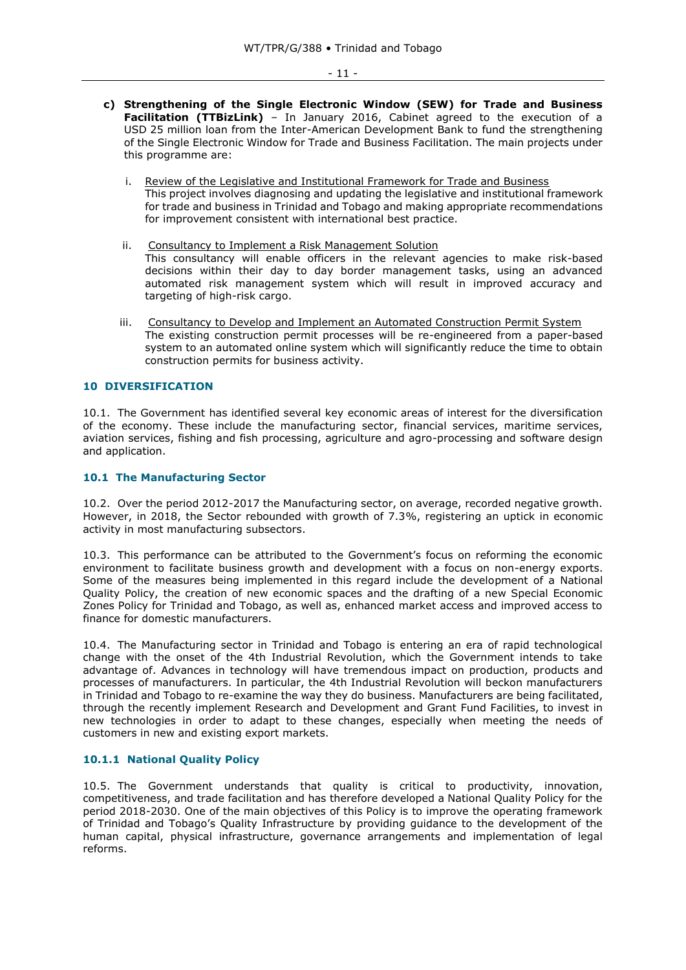- **c) Strengthening of the Single Electronic Window (SEW) for Trade and Business Facilitation (TTBizLink)** – In January 2016, Cabinet agreed to the execution of a USD 25 million loan from the Inter-American Development Bank to fund the strengthening of the Single Electronic Window for Trade and Business Facilitation. The main projects under this programme are:
	- i. Review of the Legislative and Institutional Framework for Trade and Business This project involves diagnosing and updating the legislative and institutional framework for trade and business in Trinidad and Tobago and making appropriate recommendations for improvement consistent with international best practice.
	- ii. Consultancy to Implement a Risk Management Solution This consultancy will enable officers in the relevant agencies to make risk-based decisions within their day to day border management tasks, using an advanced automated risk management system which will result in improved accuracy and targeting of high-risk cargo.
	- iii. Consultancy to Develop and Implement an Automated Construction Permit System The existing construction permit processes will be re-engineered from a paper-based system to an automated online system which will significantly reduce the time to obtain construction permits for business activity.

### <span id="page-10-0"></span>**10 DIVERSIFICATION**

10.1. The Government has identified several key economic areas of interest for the diversification of the economy. These include the manufacturing sector, financial services, maritime services, aviation services, fishing and fish processing, agriculture and agro-processing and software design and application.

### <span id="page-10-1"></span>**10.1 The Manufacturing Sector**

10.2. Over the period 2012-2017 the Manufacturing sector, on average, recorded negative growth. However, in 2018, the Sector rebounded with growth of 7.3%, registering an uptick in economic activity in most manufacturing subsectors.

10.3. This performance can be attributed to the Government's focus on reforming the economic environment to facilitate business growth and development with a focus on non-energy exports. Some of the measures being implemented in this regard include the development of a National Quality Policy, the creation of new economic spaces and the drafting of a new Special Economic Zones Policy for Trinidad and Tobago, as well as, enhanced market access and improved access to finance for domestic manufacturers.

10.4. The Manufacturing sector in Trinidad and Tobago is entering an era of rapid technological change with the onset of the 4th Industrial Revolution, which the Government intends to take advantage of. Advances in technology will have tremendous impact on production, products and processes of manufacturers. In particular, the 4th Industrial Revolution will beckon manufacturers in Trinidad and Tobago to re-examine the way they do business. Manufacturers are being facilitated, through the recently implement Research and Development and Grant Fund Facilities, to invest in new technologies in order to adapt to these changes, especially when meeting the needs of customers in new and existing export markets.

### <span id="page-10-2"></span>**10.1.1 National Quality Policy**

10.5. The Government understands that quality is critical to productivity, innovation, competitiveness, and trade facilitation and has therefore developed a National Quality Policy for the period 2018-2030. One of the main objectives of this Policy is to improve the operating framework of Trinidad and Tobago's Quality Infrastructure by providing guidance to the development of the human capital, physical infrastructure, governance arrangements and implementation of legal reforms.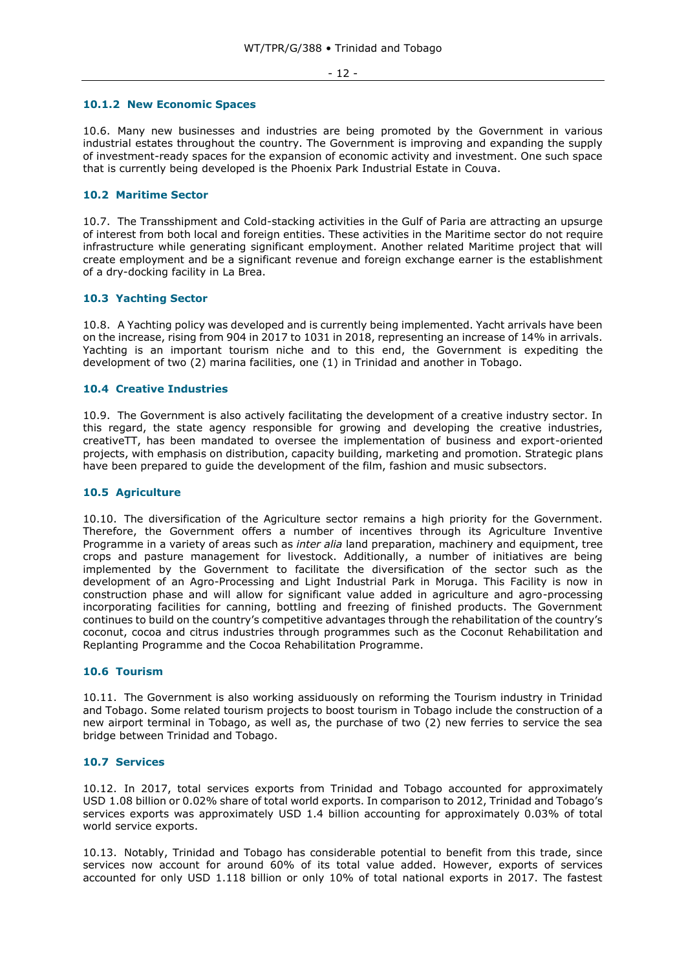#### - 12 -

#### <span id="page-11-0"></span>**10.1.2 New Economic Spaces**

10.6. Many new businesses and industries are being promoted by the Government in various industrial estates throughout the country. The Government is improving and expanding the supply of investment-ready spaces for the expansion of economic activity and investment. One such space that is currently being developed is the Phoenix Park Industrial Estate in Couva.

### <span id="page-11-1"></span>**10.2 Maritime Sector**

10.7. The Transshipment and Cold-stacking activities in the Gulf of Paria are attracting an upsurge of interest from both local and foreign entities. These activities in the Maritime sector do not require infrastructure while generating significant employment. Another related Maritime project that will create employment and be a significant revenue and foreign exchange earner is the establishment of a dry-docking facility in La Brea.

### <span id="page-11-2"></span>**10.3 Yachting Sector**

10.8. A Yachting policy was developed and is currently being implemented. Yacht arrivals have been on the increase, rising from 904 in 2017 to 1031 in 2018, representing an increase of 14% in arrivals. Yachting is an important tourism niche and to this end, the Government is expediting the development of two (2) marina facilities, one (1) in Trinidad and another in Tobago.

### <span id="page-11-3"></span>**10.4 Creative Industries**

10.9. The Government is also actively facilitating the development of a creative industry sector. In this regard, the state agency responsible for growing and developing the creative industries, creativeTT, has been mandated to oversee the implementation of business and export-oriented projects, with emphasis on distribution, capacity building, marketing and promotion. Strategic plans have been prepared to guide the development of the film, fashion and music subsectors.

#### <span id="page-11-4"></span>**10.5 Agriculture**

10.10. The diversification of the Agriculture sector remains a high priority for the Government. Therefore, the Government offers a number of incentives through its Agriculture Inventive Programme in a variety of areas such as *inter alia* land preparation, machinery and equipment, tree crops and pasture management for livestock. Additionally, a number of initiatives are being implemented by the Government to facilitate the diversification of the sector such as the development of an Agro-Processing and Light Industrial Park in Moruga. This Facility is now in construction phase and will allow for significant value added in agriculture and agro-processing incorporating facilities for canning, bottling and freezing of finished products. The Government continues to build on the country's competitive advantages through the rehabilitation of the country's coconut, cocoa and citrus industries through programmes such as the Coconut Rehabilitation and Replanting Programme and the Cocoa Rehabilitation Programme.

#### <span id="page-11-5"></span>**10.6 Tourism**

10.11. The Government is also working assiduously on reforming the Tourism industry in Trinidad and Tobago. Some related tourism projects to boost tourism in Tobago include the construction of a new airport terminal in Tobago, as well as, the purchase of two (2) new ferries to service the sea bridge between Trinidad and Tobago.

### <span id="page-11-6"></span>**10.7 Services**

10.12. In 2017, total services exports from Trinidad and Tobago accounted for approximately USD 1.08 billion or 0.02% share of total world exports. In comparison to 2012, Trinidad and Tobago's services exports was approximately USD 1.4 billion accounting for approximately 0.03% of total world service exports.

10.13. Notably, Trinidad and Tobago has considerable potential to benefit from this trade, since services now account for around 60% of its total value added. However, exports of services accounted for only USD 1.118 billion or only 10% of total national exports in 2017. The fastest